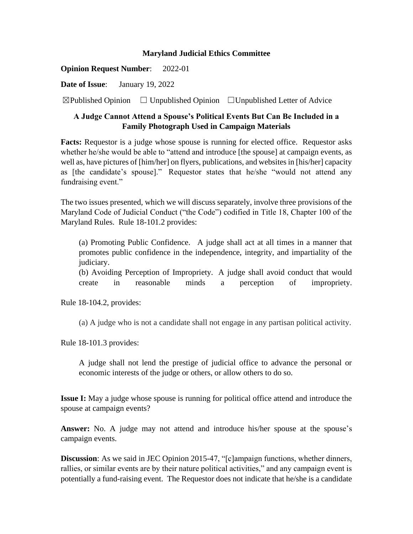## **Maryland Judicial Ethics Committee**

**Opinion Request Number**: 2022-01

**Date of Issue**: January 19, 2022

 $\boxtimes$ Published Opinion  $\Box$  Unpublished Opinion  $\Box$  Unpublished Letter of Advice

## **A Judge Cannot Attend a Spouse's Political Events But Can Be Included in a Family Photograph Used in Campaign Materials**

**Facts:** Requestor is a judge whose spouse is running for elected office. Requestor asks whether he/she would be able to "attend and introduce [the spouse] at campaign events, as well as, have pictures of [him/her] on flyers, publications, and websites in [his/her] capacity as [the candidate's spouse]." Requestor states that he/she "would not attend any fundraising event."

The two issues presented, which we will discuss separately, involve three provisions of the Maryland Code of Judicial Conduct ("the Code") codified in Title 18, Chapter 100 of the Maryland Rules. Rule 18-101.2 provides:

(a) Promoting Public Confidence. A judge shall act at all times in a manner that promotes public confidence in the independence, integrity, and impartiality of the judiciary.

(b) Avoiding Perception of Impropriety. A judge shall avoid conduct that would create in reasonable minds a perception of impropriety.

Rule 18-104.2, provides:

(a) A judge who is not a candidate shall not engage in any partisan political activity.

Rule 18-101.3 provides:

A judge shall not lend the prestige of judicial office to advance the personal or economic interests of the judge or others, or allow others to do so.

**Issue I:** May a judge whose spouse is running for political office attend and introduce the spouse at campaign events?

**Answer:** No. A judge may not attend and introduce his/her spouse at the spouse's campaign events.

**Discussion**: As we said in JEC Opinion 2015-47, "[c]ampaign functions, whether dinners, rallies, or similar events are by their nature political activities," and any campaign event is potentially a fund-raising event. The Requestor does not indicate that he/she is a candidate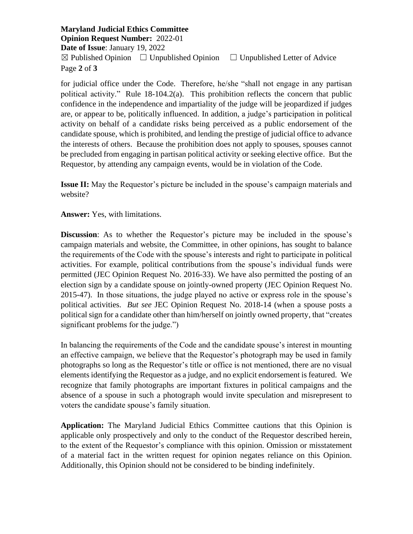**Maryland Judicial Ethics Committee Opinion Request Number:** 2022-01 **Date of Issue**: January 19, 2022  $\boxtimes$  Published Opinion  $\Box$  Unpublished Opinion  $\Box$  Unpublished Letter of Advice Page **2** of **3**

for judicial office under the Code. Therefore, he/she "shall not engage in any partisan political activity." Rule 18-104.2(a). This prohibition reflects the concern that public confidence in the independence and impartiality of the judge will be jeopardized if judges are, or appear to be, politically influenced. In addition, a judge's participation in political activity on behalf of a candidate risks being perceived as a public endorsement of the candidate spouse, which is prohibited, and lending the prestige of judicial office to advance the interests of others. Because the prohibition does not apply to spouses, spouses cannot be precluded from engaging in partisan political activity or seeking elective office. But the Requestor, by attending any campaign events, would be in violation of the Code.

**Issue II:** May the Requestor's picture be included in the spouse's campaign materials and website?

**Answer:** Yes, with limitations.

**Discussion:** As to whether the Requestor's picture may be included in the spouse's campaign materials and website, the Committee, in other opinions, has sought to balance the requirements of the Code with the spouse's interests and right to participate in political activities. For example, political contributions from the spouse's individual funds were permitted (JEC Opinion Request No. 2016-33). We have also permitted the posting of an election sign by a candidate spouse on jointly-owned property (JEC Opinion Request No. 2015-47). In those situations, the judge played no active or express role in the spouse's political activities. *But see* JEC Opinion Request No. 2018-14 (when a spouse posts a political sign for a candidate other than him/herself on jointly owned property, that "creates significant problems for the judge.")

In balancing the requirements of the Code and the candidate spouse's interest in mounting an effective campaign, we believe that the Requestor's photograph may be used in family photographs so long as the Requestor's title or office is not mentioned, there are no visual elements identifying the Requestor as a judge, and no explicit endorsement is featured. We recognize that family photographs are important fixtures in political campaigns and the absence of a spouse in such a photograph would invite speculation and misrepresent to voters the candidate spouse's family situation.

**Application:** The Maryland Judicial Ethics Committee cautions that this Opinion is applicable only prospectively and only to the conduct of the Requestor described herein, to the extent of the Requestor's compliance with this opinion. Omission or misstatement of a material fact in the written request for opinion negates reliance on this Opinion. Additionally, this Opinion should not be considered to be binding indefinitely.